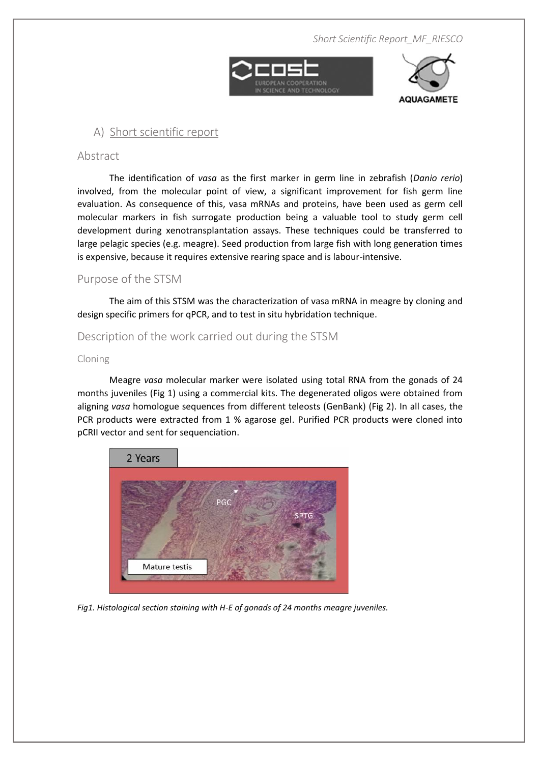*Short Scientific Report\_MF\_RIESCO*





# **A) Short scientific report**

### **Abstract**

The identification of *vasa* as the first marker in germ line in zebrafish (*Danio rerio*) involved, from the molecular point of view, a significant improvement for fish germ line evaluation. As consequence of this, vasa mRNAs and proteins, have been used as germ cell molecular markers in fish surrogate production being a valuable tool to study germ cell development during xenotransplantation assays. These techniques could be transferred to large pelagic species (e.g. meagre). Seed production from large fish with long generation times is expensive, because it requires extensive rearing space and is labour-intensive.

## **Purpose of the STSM**

The aim of this STSM was the characterization of vasa mRNA in meagre by cloning and design specific primers for qPCR, and to test in situ hybridation technique.

## **Description of the work carried out during the STSM**

#### **Cloning**

Meagre *vasa* molecular marker were isolated using total RNA from the gonads of 24 months juveniles (Fig 1) using a commercial kits. The degenerated oligos were obtained from aligning *vasa* homologue sequences from different teleosts (GenBank) (Fig 2). In all cases, the PCR products were extracted from 1 % agarose gel. Purified PCR products were cloned into pCRII vector and sent for sequenciation.



*Fig1. Histological section staining with H-E of gonads of 24 months meagre juveniles.*